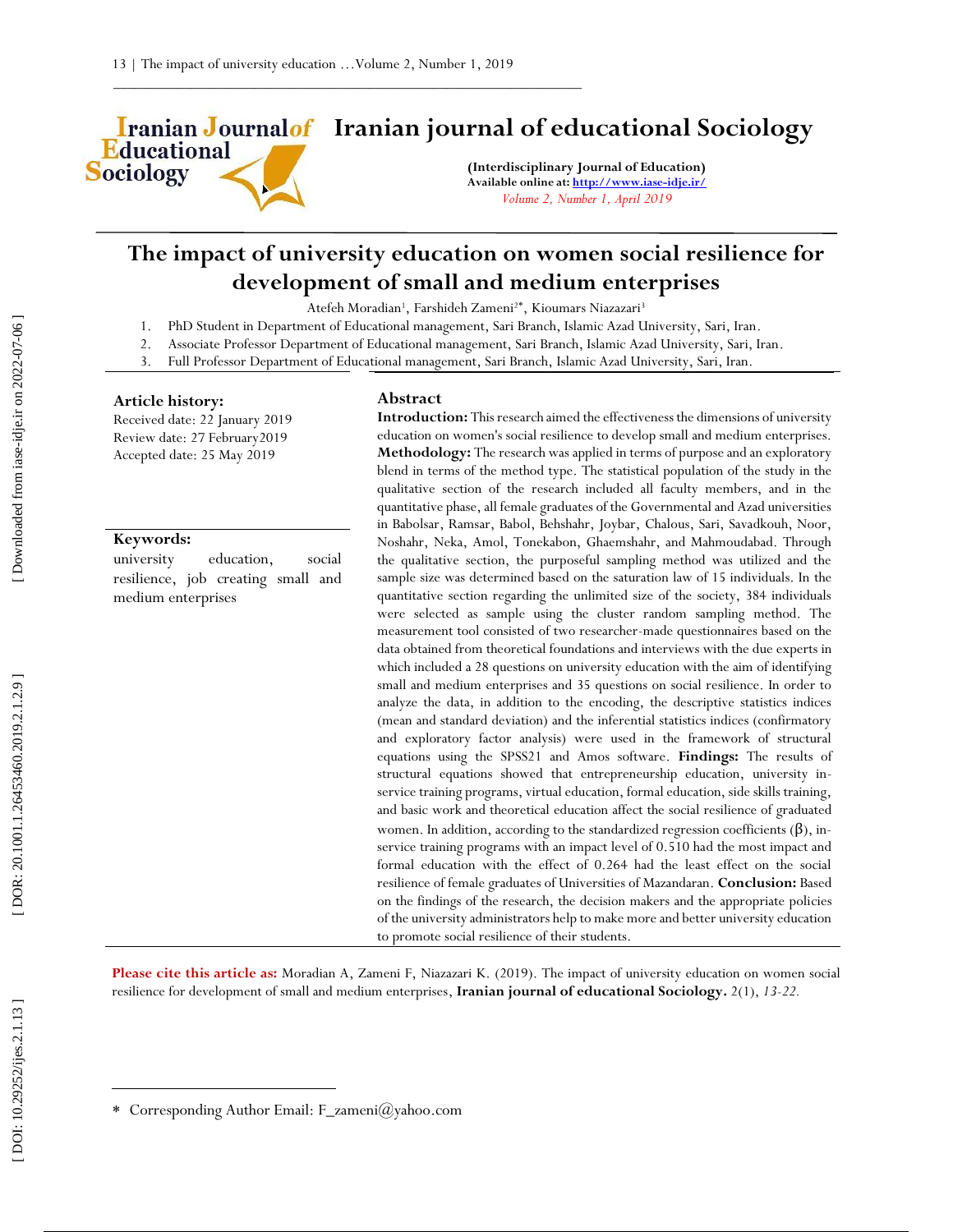

# **Iranian Journalof** Iranian journal of educational Sociology

**(Interdisciplinary Journal of Education) Available online at[: http://www.iase](http://www.iase-idje.ir/) -idje.ir/** *Volume 2, Number 1, April 2019*

## **The impact of university education on women social resilience for development of small and medium enterprises**

Atefeh Moradian<sup>1</sup>, Farshideh Zameni<sup>2\*</sup>, Kioumars Niazazari<sup>3</sup>

- 1. PhD Student in Department of Educational management, Sari Branch, Islamic Azad University, Sari, Iran.
- 2. Associate Professor Department of Educational management, Sari Branch, Islamic Azad University, Sari, Iran.
- 3. Full Professor Department of Educational management, Sari Branch, Islamic Azad University, Sari, Iran.

#### **Article history:**

Received date: 2 2 January 2 0 1 9 Review date: 27 February2019 Accepted date: 2 5 M a y 2019

#### **Keywords:**

university education, social resilience, job creating small and medium enterprises

#### **Abstract**

Introduction: This research aimed the effectiveness the dimensions of university education on women's social resilience to develop small and medium enterprises. **Methodology:** The research was applied in terms of purpose and an exploratory blend in terms of the method type. The statistical population of the study in the qualitative section of the research included all faculty members, and in the quantitative phase, all female graduates of the Governmental and Azad universities in Babolsar, Ramsar, Babol, Behshahr, Joybar, Chalous, Sari, Savadkouh, Noor, Noshahr, Neka, Amol, Tonekabon, Ghaemshahr, and Mahmoudabad. Through the qualitative section, the purposeful sampling method was utilized and the sample size was determined based on the saturation law of 15 individuals. In the quantitative section regarding the unlimited size of the society, 384 individuals were selected as sample using the cluster random sampling method. The measurement tool consisted of two researcher -made questionnaires based on the data obtained from theoretical foundations and interviews with the due experts in which included a 28 questions on university education with the aim of identifying small and medium enterprises and 35 questions on social resilience. In order to analyze the data, in addition to the encoding, the descriptive statistics indices (mean and standard deviation) and the inferential statistics indices (confirmatory and exploratory factor analysis) were used in the framework of structural equations using the SPSS21 and Amos software. **Findings:** The results of structural equations showed that entrepreneurship education, university in service training programs, virtual education, formal education, side skills training, and basic work and theoretical education affect the social resilience of graduated women. In addition, according to the standardized regression coefficients  $(\beta)$ , inservice training programs with an impact level of 0.510 had the most impact and formal education with the effect of 0.264 had the least effect on the social resilience of female graduates of Universities of Mazandaran. **Conclusion:** Based on the findings of the research, the decision makers and the appropriate policies of the university administrators help to make more and better university education to promote social resilience of their students.

Please cite this article as: Moradian A, Zameni F, Niazazari K. (2019). The impact of university education on women social resilience for development of small and medium enterprises , **Iranian journal of educational Sociology .** 2 ( 1), *13 -22.*

 $\overline{a}$ 

Corresponding Author Email: F\_zameni@yahoo.com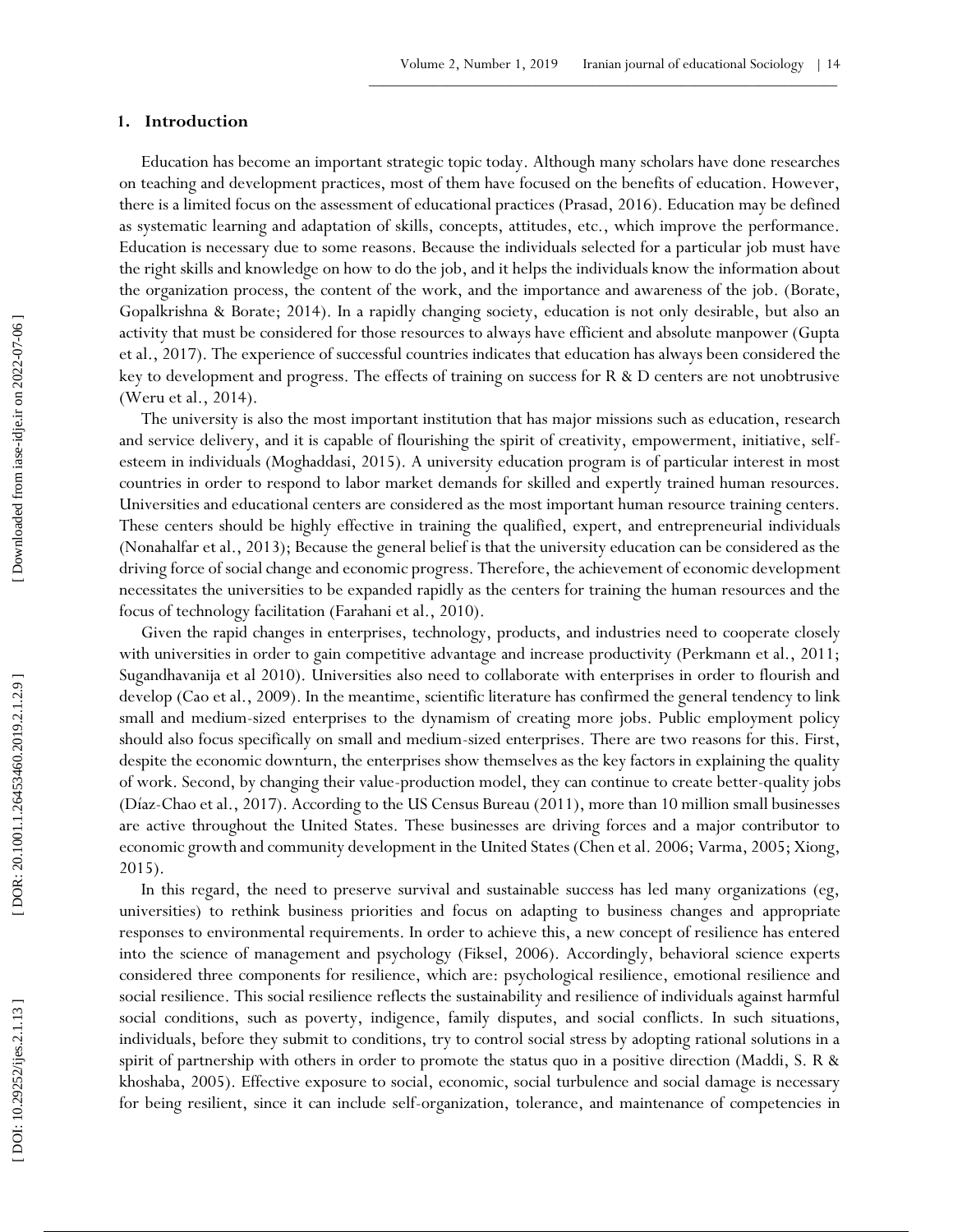## **1 . Introduction**

Education has become an important strategic topic today. Although many scholars have done researches on teaching and development practices, most of them have focused on the benefits of education. However, there is a limited focus on the assessment of educational practices (Prasad, 2016). Education may be defined as systematic learning and adaptation of skills, concepts, attitudes, etc., which improve the performance. Education is necessary due to some reasons. Because the individuals selected for a particular job must have the right skills and knowledge on how to do the job, and it helps the individuals know the information about the organization process, the content of the work, and the importance and awareness of the job. (Borate, Gopalkrishna & Borate; 2014). In a rapidly changing society, education is not only desirable, but also an activity that must be considered for those resources to always have efficient and absolute manpower (Gupta et al., 2017). The experience of successful countries indicates that education has always been considered the key to development and progress. The effects of training on success for R & D centers are not unobtrusive (Weru et al., 2014).

The university is also the most important institution that has major missions such as education, research and service delivery, and it is capable of flourishing the spirit of creativity, empowerment, initiative, self esteem in individuals (Moghaddasi, 2015). A university education program is of particular interest in most countries in order to respond to labor market demands for skilled and expertly trained human resources. Universities and educational centers are considered as the most important human resource training centers. These centers should be highly effective in training the qualified, expert, and entrepreneurial individuals (Nonahalfar et al., 2013); Because the general belief is that the university education can be considered as the driving force of social change and economic progress. Therefore, the achievement of economic development necessitates the universities to be expanded rapidly as the centers for training the human resources and the focus of technology facilitation (Farahani et al., 2010).

Given the rapid changes in enterprises, technology, products, and industries need to cooperate closely with universities in order to gain competitive advantage and increase productivity (Perkmann et al., 2011; Sugandhavanija et al 2010). Universities also need to collaborate with enterprises in order to flourish and develop (Cao et al., 2009). In the meantime, scientific literature has confirmed the general tendency to link small and medium -sized enterprises to the dynamism of creating more jobs. Public employment policy should also focus specifically on small and medium -sized enterprises. There are two reasons for this. First, despite the economic downturn, the enterprises show themselves as the key factors in explaining the quality of work. Second, by changing their value -production model, they can continue to create better -quality jobs (Díaz -Chao et al., 2017). According to the US Census Bureau (2011), more than 10 million small businesses are active throughout the United States. These businesses are driving forces and a major contributor to economic growth and community development in the United States (Chen et al. 2006; Varma, 2005; Xiong, 2015).

In this regard, the need to preserve survival and sustainable success has led many organizations (eg, universities) to rethink business priorities and focus on adapting to business changes and appropriate responses to environmental requirements. In order to achieve this, a new concept of resilience has entered into the science of management and psychology (Fiksel, 2006). Accordingly, behavioral science experts considered three components for resilience, which are: psychological resilience, emotional resilience and social resilience. This social resilience reflects the sustainability and resilience of individuals against harmful social conditions, such as poverty, indigence, family disputes, and social conflicts. In such situations, individuals, before they submit to conditions, try to control social stress by adopting rational solutions in a spirit of partnership with others in order to promote the status quo in a positive direction (Maddi, S. R & khoshaba, 2005). Effective exposure to social, economic, social turbulence and social damage is necessary for being resilient, since it can include self-organization, tolerance, and maintenance of competencies in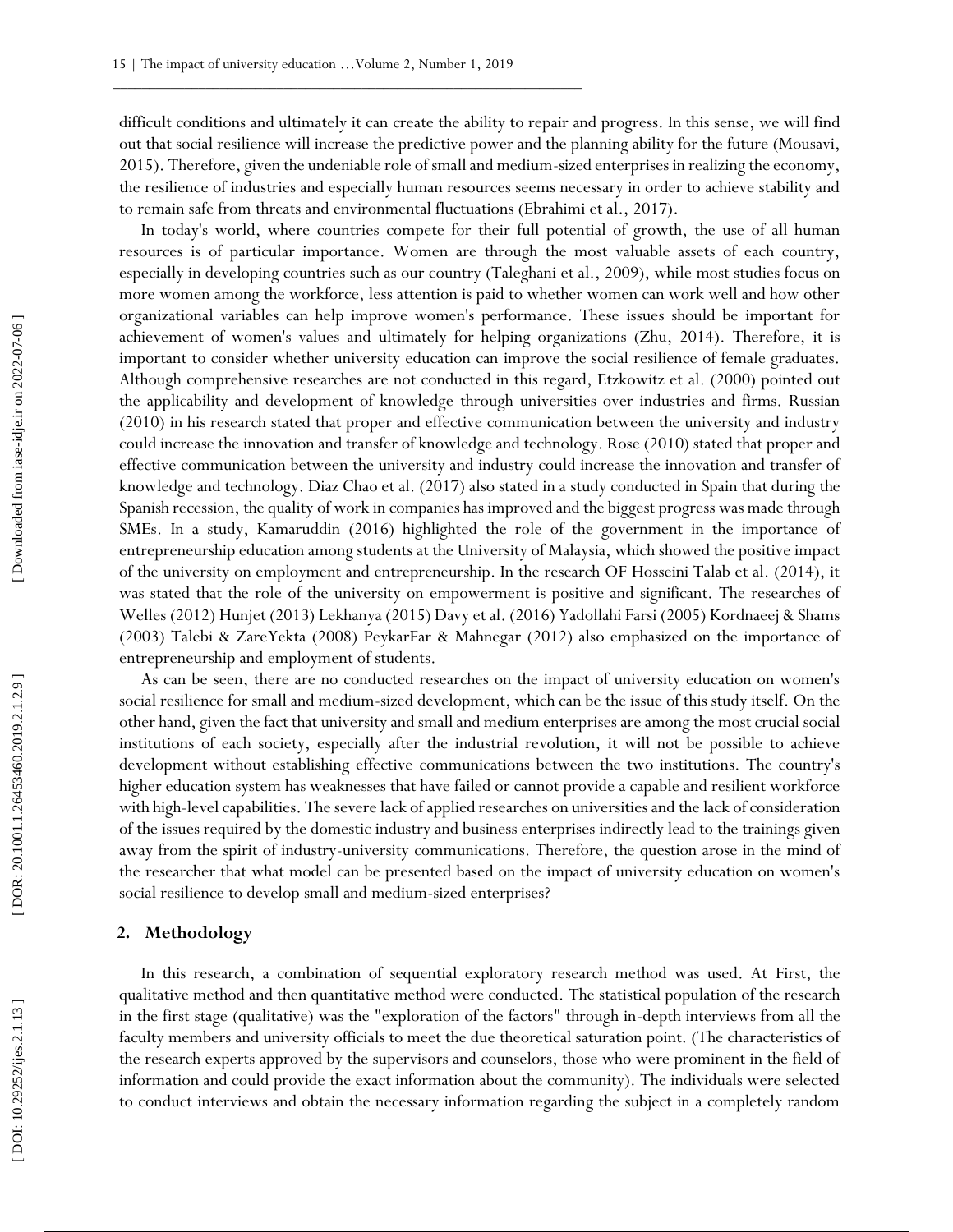difficult conditions and ultimately it can create the ability to repair and progress. In this sense, we will find out that social resilience will increase the predictive power and the planning ability for the future (Mousavi, 2015). Therefore, given the undeniable role of small and medium -sized enterprises in realizing the economy, the resilience of industries and especially human resources seems necessary in order to achieve stability and to remain safe from threats and environmental fluctuations (Ebrahimi et al., 2017).

In today's world, where countries compete for their full potential of growth, the use of all human resources is of particular importance. Women are through the most valuable assets of each country, especially in developing countries such as our country (Taleghani et al., 2009), while most studies focus on more women among the workforce, less attention is paid to whether women can work well and how other organizational variables can help improve women's performance. These issues should be important for achievement of women's values and ultimately for helping organizations (Zhu, 2014). Therefore, it is important to consider whether university education can improve the social resilience of female graduates. Although comprehensive researches are not conducted in this regard, Etzkowitz et al. (2000) pointed out the applicability and development of knowledge through universities over industries and firms. Russian (2010) in his research stated that proper and effective communication between the university and industry could increase the innovation and transfer of knowledge and technology. Rose (2010) stated that proper and effective communication between the university and industry could increase the innovation and transfer of knowledge and technology. Diaz Chao et al. (2017) also stated in a study conducted in Spain that during the Spanish recession, the quality of work in companies has improved and the biggest progress was made through SMEs. In a study, Kamaruddin (2016) highlighted the role of the government in the importance of entrepreneurship education among students at the University of Malaysia, which showed the positive impact of the university on employment and entrepreneurship. In the research OF Hosseini Talab et al. (2014), it was stated that the role of the university on empowerment is positive and significant. The researches of Welles (2012) Hunjet (2013) Lekhanya (2015) Davy et al. (2016) Yadollahi Farsi (2005) Kordnaeej & Shams (2003) Talebi & ZareYekta (2008) PeykarFar & Mahnegar (2012) also emphasized on the importance of entrepreneurship and employment of students.

As can be seen, there are no conducted researches on the impact of university education on women's social resilience for small and medium -sized development, which can be the issue of this study itself. On the other hand, given the fact that university and small and medium enterprises are among the most crucial social institutions of each society, especially after the industrial revolution, it will not be possible to achieve development without establishing effective communications between the two institutions. The country's higher education system has weaknesses that have failed or cannot provide a capable and resilient workforce with high -level capabilities. The severe lack of applied researches on universities and the lack of consideration of the issues required by the domestic industry and business enterprises indirectly lead to the trainings given away from the spirit of industry -university communications. Therefore, the question arose in the mind of the researcher that what model can be presented based on the impact of university education on women's social resilience to develop small and medium-sized enterprises?

## **2 . Methodology**

In this research, a combination of sequential exploratory research method was used. At First, the qualitative method and then quantitative method were conducted. The statistical population of the research in the first stage (qualitative) was the "exploration of the factors" through in -depth interviews from all the faculty members and university officials to meet the due theoretical saturation point. (The characteristics of the research experts approved by the supervisors and counselors, those who were prominent in the field of information and could provide the exact information about the community). The individuals were selected to conduct interviews and obtain the necessary information regarding the subject in a completely random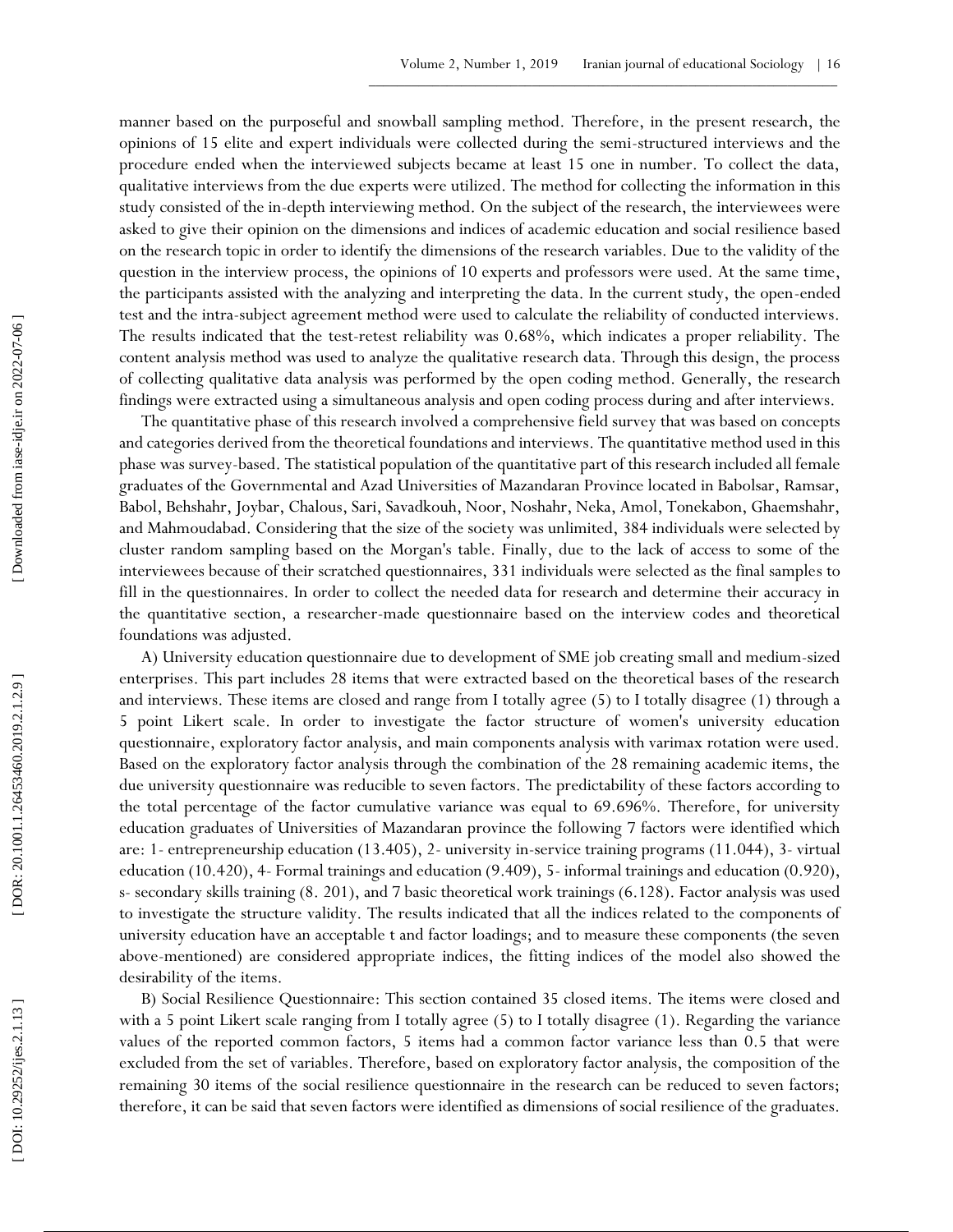manner based on the purposeful and snowball sampling method. Therefore, in the present research, the opinions of 15 elite and expert individuals were collected during the semi -structured interviews and the procedure ended when the interviewed subjects became at least 15 one in number. To collect the data, qualitative interviews from the due experts were utilized. The method for collecting the information in this study consisted of the in -depth interviewing method. On the subject of the research, the interviewees were asked to give their opinion on the dimensions and indices of academic education and social resilience based on the research topic in order to identify the dimensions of the research variables. Due to the validity of the question in the interview process, the opinions of 10 experts and professors were used. At the same time, the participants assisted with the analyzing and interpreting the data. In the current study, the open -ended test and the intra -subject agreement method were used to calculate the reliability of conducted interviews. The results indicated that the test-retest reliability was 0.68%, which indicates a proper reliability. The content analysis method was used to analyze the qualitative research data. Through this design, the process of collecting qualitative data analysis was performed by the open coding method. Generally, the research findings were extracted using a simultaneous analysis and open coding process during and after interviews.

The quantitative phase of this research involved a comprehensive field survey that was based on concepts and categories derived from the theoretical foundations and interviews. The quantitative method used in this phase was survey-based. The statistical population of the quantitative part of this research included all female graduates of the Governmental and Azad Universities of Mazandaran Province located in Babolsar, Ramsar, Babol, Behshahr, Joybar, Chalous, Sari, Savadkouh, Noor, Noshahr, Neka, Amol, Tonekabon, Ghaemshahr, and Mahmoudabad. Considering that the size of the society was unlimited, 384 individuals were selected by cluster random sampling based on the Morgan's table. Finally, due to the lack of access to some of the interviewees because of their scratched questionnaires, 331 individuals were selected as the final samples to fill in the questionnaires. In order to collect the needed data for research and determine their accuracy in the quantitative section, a researcher -made questionnaire based on the interview codes and theoretical foundations was adjusted.

A) University education questionnaire due to development of SME job creating small and medium -sized enterprises. This part includes 28 items that were extracted based on the theoretical bases of the research and interviews. These items are closed and range from I totally agree (5) to I totally disagree (1) through a 5 point Likert scale. In order to investigate the factor structure of women's university education questionnaire, exploratory factor analysis, and main components analysis with varimax rotation were used. Based on the exploratory factor analysis through the combination of the 28 remaining academic items, the due university questionnaire was reducible to seven factors. The predictability of these factors according to the total percentage of the factor cumulative variance was equal to 69.696%. Therefore, for university education graduates of Universities of Mazandaran province the following 7 factors were identified which are: 1- entrepreneurship education (13.405), 2- university in-service training programs (11.044), 3- virtual education (10.420), 4- Formal trainings and education (9.409), 5- informal trainings and education (0.920), s - secondary skills training (8. 201), and 7 basic theoretical work trainings (6.128). Factor analysis was used to investigate the structure validity. The results indicated that all the indices related to the components of university education have an acceptable t and factor loadings; and to measure these components (the seven above -mentioned) are considered appropriate indices, the fitting indices of the model also showed the desirability of the items.

B) Social Resilience Questionnaire: This section contained 35 closed items. The items were closed and with a 5 point Likert scale ranging from I totally agree (5) to I totally disagree (1). Regarding the variance values of the reported common factors, 5 items had a common factor variance less than 0.5 that were excluded from the set of variables. Therefore, based on exploratory factor analysis, the composition of the remaining 30 items of the social resilience questionnaire in the research can be reduced to seven factors; therefore, it can be said that seven factors were identified as dimensions of social resilience of the graduates.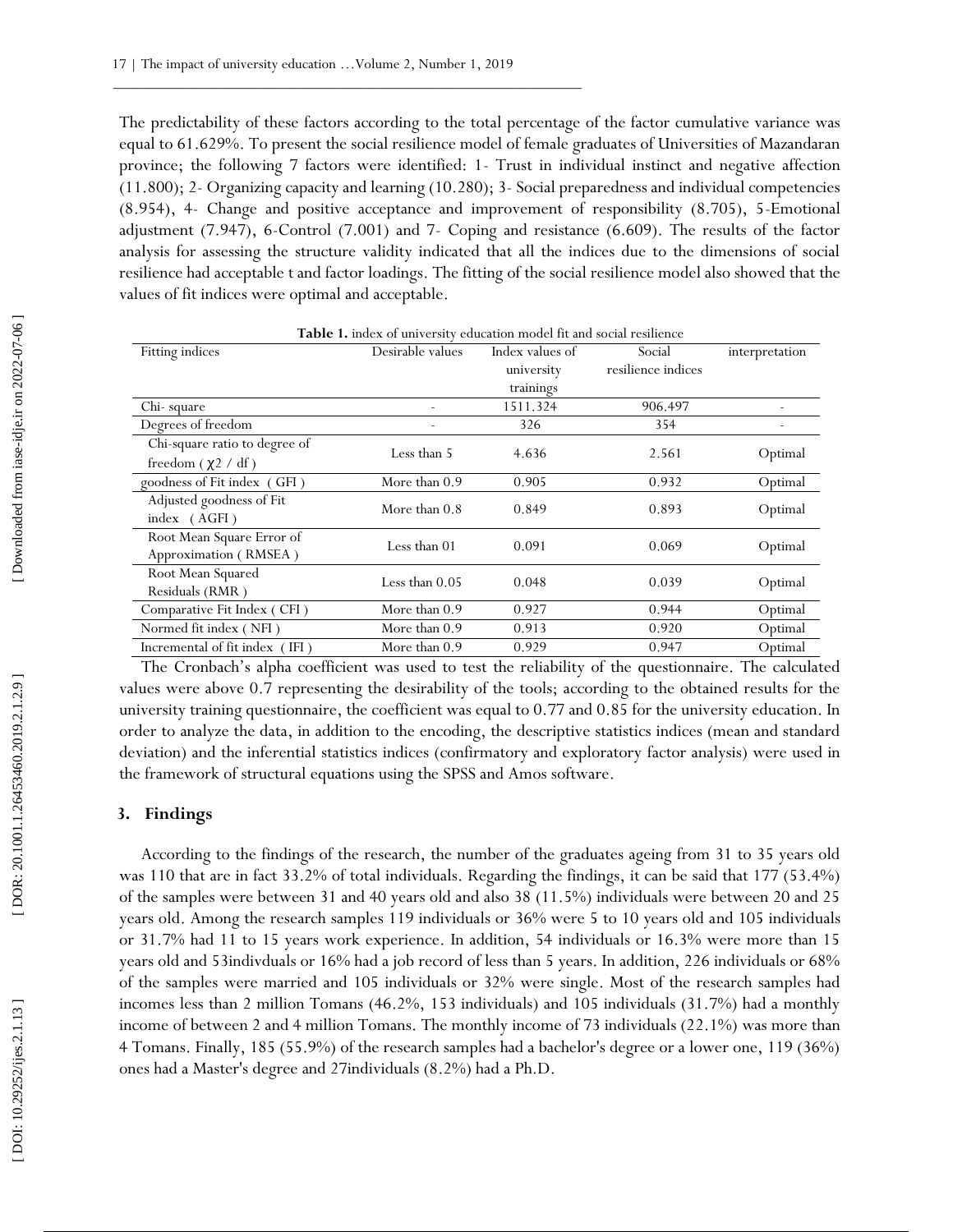The predictability of these factors according to the total percentage of the factor cumulative variance was equal to 61.629%. To present the social resilience model of female graduates of Universities of Mazandaran province; the following 7 factors were identified: 1- Trust in individual instinct and negative affection (11.800); 2 - Organizing capacity and learning (10.280); 3 - Social preparedness and individual competencies (8.954), 4 - Change and positive acceptance and improvement of responsibility (8.705), 5 -Emotional adjustment (7.947), 6 -Control (7.001) and 7 - Coping and resistance (6.609). The results of the factor analysis for assessing the structure validity indicated that all the indices due to the dimensions of social resilience had acceptable t and factor loadings. The fitting of the social resilience model also showed that the values of fit indices were optimal and acceptable.

| Table 1. index of university education model fit and social resilience |                  |                 |                    |                |  |  |  |  |
|------------------------------------------------------------------------|------------------|-----------------|--------------------|----------------|--|--|--|--|
| Fitting indices                                                        | Desirable values | Index values of | Social             | interpretation |  |  |  |  |
|                                                                        |                  | university      | resilience indices |                |  |  |  |  |
|                                                                        |                  | trainings       |                    |                |  |  |  |  |
| Chi-square                                                             |                  | 1511.324        | 906.497            |                |  |  |  |  |
| Degrees of freedom                                                     |                  | 326             | 354                |                |  |  |  |  |
| Chi-square ratio to degree of                                          | Less than 5      |                 |                    |                |  |  |  |  |
| freedom $(\chi^2 / df)$                                                |                  | 4.636           | 2.561              | Optimal        |  |  |  |  |
| goodness of Fit index (GFI)                                            | More than 0.9    | 0.905           | 0.932              | Optimal        |  |  |  |  |
| Adjusted goodness of Fit                                               | More than $0.8$  | 0.849           | 0.893              | Optimal        |  |  |  |  |
| index (AGFI)                                                           |                  |                 |                    |                |  |  |  |  |
| Root Mean Square Error of                                              | Less than 01     | 0.091           | 0.069              | Optimal        |  |  |  |  |
| Approximation (RMSEA)                                                  |                  |                 |                    |                |  |  |  |  |
| Root Mean Squared                                                      | Less than $0.05$ | 0.048           | 0.039              | Optimal        |  |  |  |  |
| Residuals (RMR)                                                        |                  |                 |                    |                |  |  |  |  |
| Comparative Fit Index (CFI)                                            | More than 0.9    | 0.927           | 0.944              | Optimal        |  |  |  |  |
| Normed fit index (NFI)                                                 | More than 0.9    | 0.913           | 0.920              | Optimal        |  |  |  |  |
| Incremental of fit index (IFI)                                         | More than 0.9    | 0.929           | 0.947              | Optimal        |  |  |  |  |

The Cronbach's alpha coefficient was used to test the reliability of the questionnaire. The calculated values were above 0.7 representing the desirability of the tools; according to the obtained results for the university training questionnaire, the coefficient was equal to 0.77 and 0.85 for the university education. In order to analyze the data, in addition to the encoding, the descriptive statistics indices (mean and standard deviation) and the inferential statistics indices (confirmatory and exploratory factor analysis) were used in the framework of structural equations using the SPSS and Amos software.

#### **3. Findings**

According to the findings of the research, the number of the graduates ageing from 31 to 35 years old was 110 that are in fact 33.2% of total individuals. Regarding the findings, it can be said that 177 (53.4%) of the samples were between 31 and 40 years old and also 38 (11.5%) individuals were between 20 and 25 years old. Among the research samples 119 individuals or 36% were 5 to 10 years old and 105 individuals or 31.7% had 11 to 15 years work experience. In addition, 54 individuals or 16.3% were more than 15 years old and 53indivduals or 16% had a job record of less than 5 years. In addition, 226 individuals or 68% of the samples were married and 105 individuals or 32% were single. Most of the research samples had incomes less than 2 million Tomans (46.2%, 153 individuals) and 105 individuals (31.7%) had a monthly income of between 2 and 4 million Tomans. The monthly income of 73 individuals (22.1%) was more than 4 Tomans. Finally, 185 (55.9%) of the research samples had a bachelor's degree or a lower one, 119 (36%) ones had a Master's degree and 27individuals (8.2%) had a Ph.D.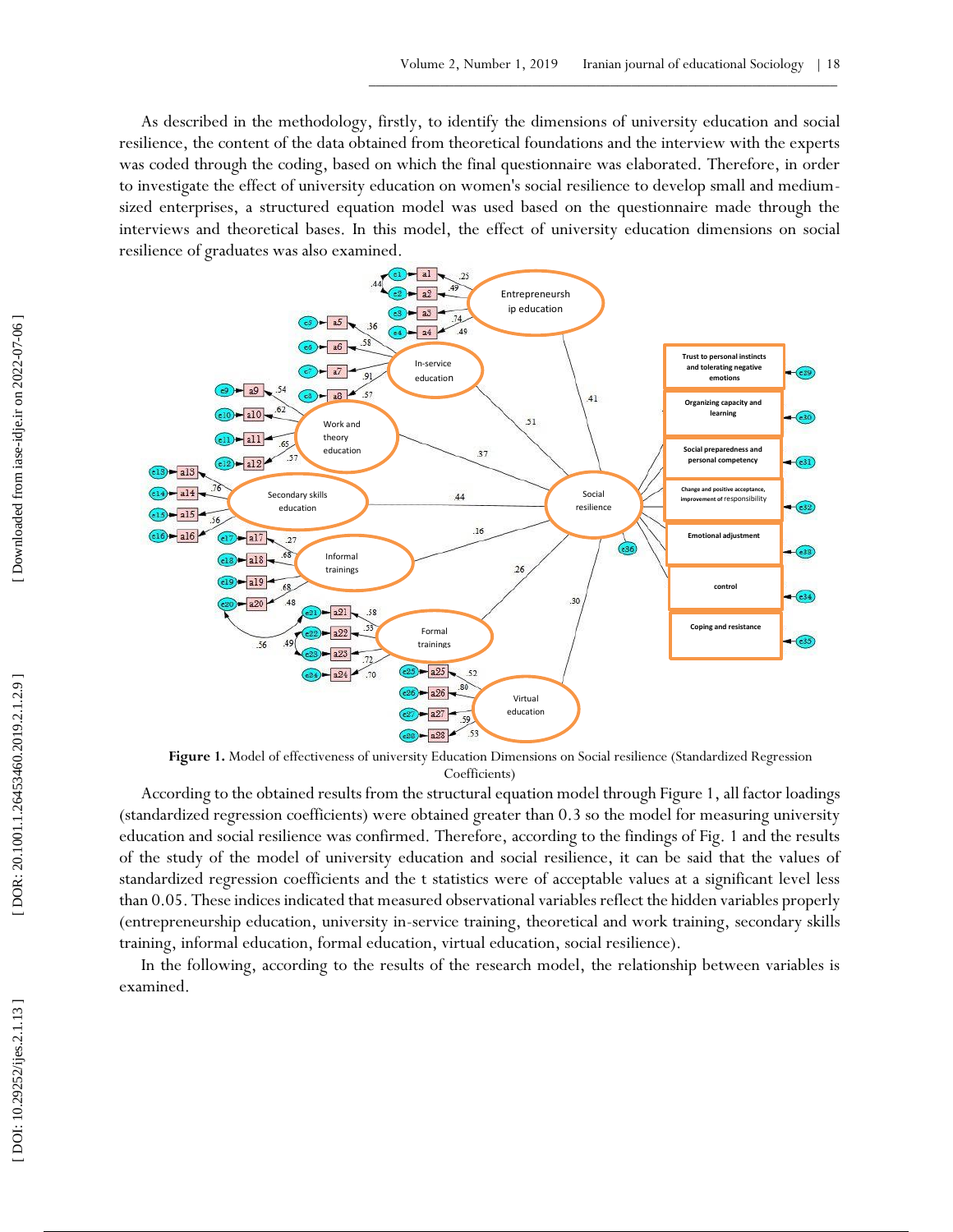As described in the methodology, firstly, to identify the dimensions of university education and social resilience, the content of the data obtained from theoretical foundations and the interview with the experts was coded through the coding, based on which the final questionnaire was elaborated. Therefore, in order to investigate the effect of university education on women's social resilience to develop small and medium sized enterprises, a structured equation model was used based on the questionnaire made through the interviews and theoretical bases. In this model, the effect of university education dimensions on social resilience of graduates was also examined.



Figure 1. Model of effectiveness of university Education Dimensions on Social resilience (Standardized Regression Coefficients)

According to the obtained results from the structural equation model through Figure 1, all factor loadings (standardized regression coefficients) were obtained greater than 0.3 so the model for measuring university education and social resilience was confirmed. Therefore, according to the findings of Fig. 1 and the results of the study of the model of university education and social resilience, it can be said that the values of standardized regression coefficients and the t statistics were of acceptable values at a significant level less than 0.05. These indices indicated that measured observational variables reflect the hidden variables properly (entrepreneurship education, university in -service training, theoretical and work training, secondary skills training, informal education, formal education, virtual education, social resilience).

In the following, according to the results of the research model, the relationship between variables is examined.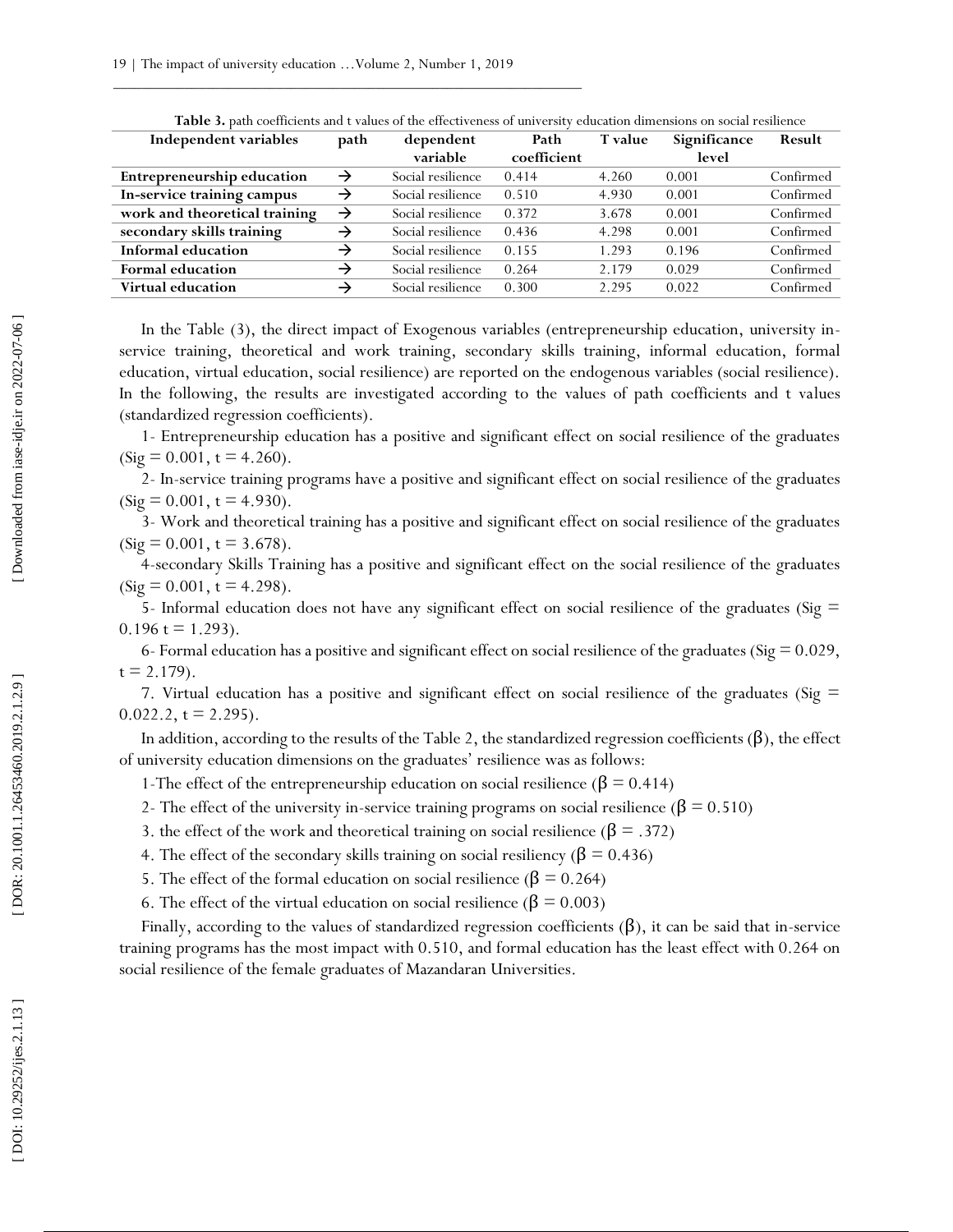| Independent variables<br>path          | dependent         | Path        | T value | Significance | Result    |
|----------------------------------------|-------------------|-------------|---------|--------------|-----------|
|                                        | variable          | coefficient |         | level        |           |
| <b>Entrepreneurship education</b><br>→ | Social resilience | 0.414       | 4.260   | 0.001        | Confirmed |
| In-service training campus<br>→        | Social resilience | 0.510       | 4.930   | 0.001        | Confirmed |
| work and theoretical training<br>→     | Social resilience | 0.372       | 3.678   | 0.001        | Confirmed |
| secondary skills training<br>→         | Social resilience | 0.436       | 4.298   | 0.001        | Confirmed |
| Informal education<br>→                | Social resilience | 0.155       | 1.293   | 0.196        | Confirmed |
| <b>Formal education</b><br>→           | Social resilience | 0.264       | 2.179   | 0.029        | Confirmed |
| <b>Virtual education</b><br>→          | Social resilience | 0.300       | 2.295   | 0.022        | Confirmed |

**Table 3 .** path coefficients and t values of the effectiveness of university education dimensions on social resilience

In the Table (3), the direct impact of Exogenous variables (entrepreneurship education, university inservice training, theoretical and work training, secondary skills training, informal education, formal education, virtual education, social resilience) are reported on the endogenous variables (social resilience). In the following, the results are investigated according to the values of path coefficients and t values (standardized regression coefficients).

1- Entrepreneurship education has a positive and significant effect on social resilience of the graduates  $(Sig = 0.001, t = 4.260).$ 

2- In-service training programs have a positive and significant effect on social resilience of the graduates  $(Sig = 0.001, t = 4.930).$ 

3- Work and theoretical training has a positive and significant effect on social resilience of the graduates  $(Sig = 0.001, t = 3.678).$ 

4-secondary Skills Training has a positive and significant effect on the social resilience of the graduates  $(Sig = 0.001, t = 4.298).$ 

5- Informal education does not have any significant effect on social resilience of the graduates (Sig  $=$  $0.196 t = 1.293$ .

6- Formal education has a positive and significant effect on social resilience of the graduates (Sig  $= 0.029$ ,  $t = 2.179$ .

7. Virtual education has a positive and significant effect on social resilience of the graduates (Sig =  $0.022.2$ , t = 2.295).

In addition, according to the results of the Table 2, the standardized regression coefficients  $(\beta)$ , the effect of university education dimensions on the graduates' resilience was as follows:

1-The effect of the entrepreneurship education on social resilience ( $β = 0.414$ )

2- The effect of the university in-service training programs on social resilience ( $\beta$  = 0.510)

- 3. the effect of the work and theoretical training on social resilience ( $\beta$  = .372)
- 4. The effect of the secondary skills training on social resiliency ( $\beta$  = 0.436)
- 5. The effect of the formal education on social resilience ( $β = 0.264$ )
- 6. The effect of the virtual education on social resilience ( $\beta$  = 0.003)

Finally, according to the values of standardized regression coefficients  $(\beta)$ , it can be said that in-service training programs has the most impact with 0.510, and formal education has the least effect with 0.264 on social resilience of the female graduates of Mazandaran Universities.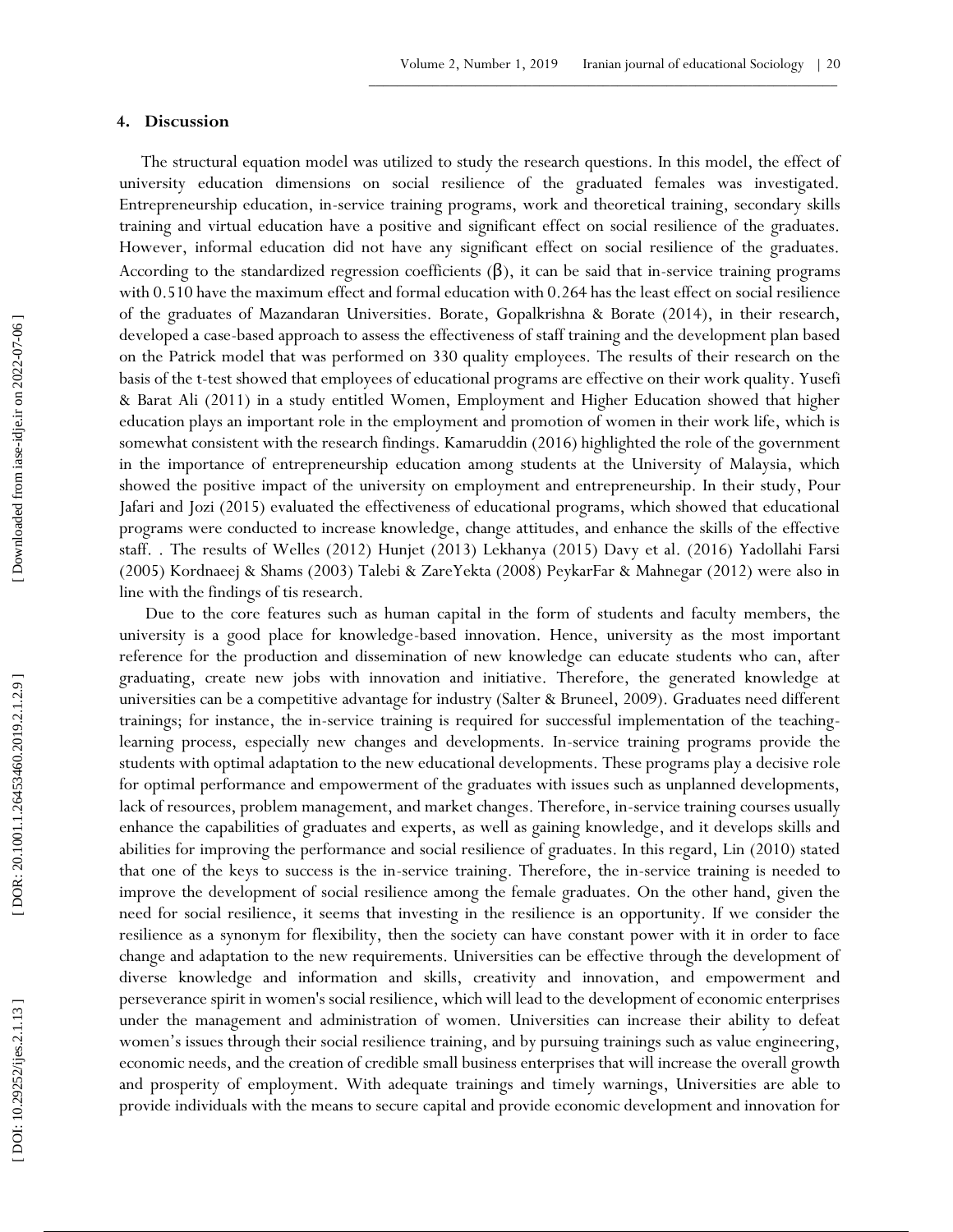## **4 . Discussion**

The structural equation model was utilized to study the research questions. In this model, the effect of university education dimensions on social resilience of the graduated females was investigated. Entrepreneurship education, in -service training programs, work and theoretical training, secondary skills training and virtual education have a positive and significant effect on social resilience of the graduates. However, informal education did not have any significant effect on social resilience of the graduates. According to the standardized regression coefficients  $(\beta)$ , it can be said that in-service training programs with 0.510 have the maximum effect and formal education with 0.264 has the least effect on social resilience of the graduates of Mazandaran Universities. Borate, Gopalkrishna & Borate (2014), in their research, developed a case -based approach to assess the effectiveness of staff training and the development plan based on the Patrick model that was performed on 330 quality employees. The results of their research on the basis of the t -test showed that employees of educational programs are effective on their work quality. Yusefi & Barat Ali (2011) in a study entitled Women, Employment and Higher Education showed that higher education plays an important role in the employment and promotion of women in their work life, which is somewhat consistent with the research findings. Kamaruddin (2016) highlighted the role of the government in the importance of entrepreneurship education among students at the University of Malaysia, which showed the positive impact of the university on employment and entrepreneurship. In their study, Pour Jafari and Jozi (2015) evaluated the effectiveness of educational programs, which showed that educational programs were conducted to increase knowledge, change attitudes, and enhance the skills of the effective staff. . The results of Welles (2012) Hunjet (2013) Lekhanya (2015) Davy et al. (2016) Yadollahi Farsi (2005) Kordnaeej & Shams (2003) Talebi & ZareYekta (2008) PeykarFar & Mahnegar (2012) were also in line with the findings of tis research.

Due to the core features such as human capital in the form of students and faculty members, the university is a good place for knowledge -based innovation. Hence, university as the most important reference for the production and dissemination of new knowledge can educate students who can, after graduating, create new jobs with innovation and initiative. Therefore, the generated knowledge at universities can be a competitive advantage for industry (Salter & Bruneel, 2009). Graduates need different trainings; for instance, the in -service training is required for successful implementation of the teaching learning process, especially new changes and developments. In -service training programs provide the students with optimal adaptation to the new educational developments. These programs play a decisive role for optimal performance and empowerment of the graduates with issues such as unplanned developments, lack of resources, problem management, and market changes. Therefore, in -service training courses usually enhance the capabilities of graduates and experts, as well as gaining knowledge, and it develops skills and abilities for improving the performance and social resilience of graduates. In this regard, Lin (2010) stated that one of the keys to success is the in -service training. Therefore, the in -service training is needed to improve the development of social resilience among the female graduates. On the other hand, given the need for social resilience, it seems that investing in the resilience is an opportunity. If we consider the resilience as a synonym for flexibility, then the society can have constant power with it in order to face change and adaptation to the new requirements. Universities can be effective through the development of diverse knowledge and information and skills, creativity and innovation, and empowerment and perseverance spirit in women's social resilience, which will lead to the development of economic enterprises under the management and administration of women. Universities can increase their ability to defeat women's issues through their social resilience training, and by pursuing trainings such as value engineering, economic needs, and the creation of credible small business enterprises that will increase the overall growth and prosperity of employment. With adequate trainings and timely warnings, Universities are able to provide individuals with the means to secure capital and provide economic development and innovation for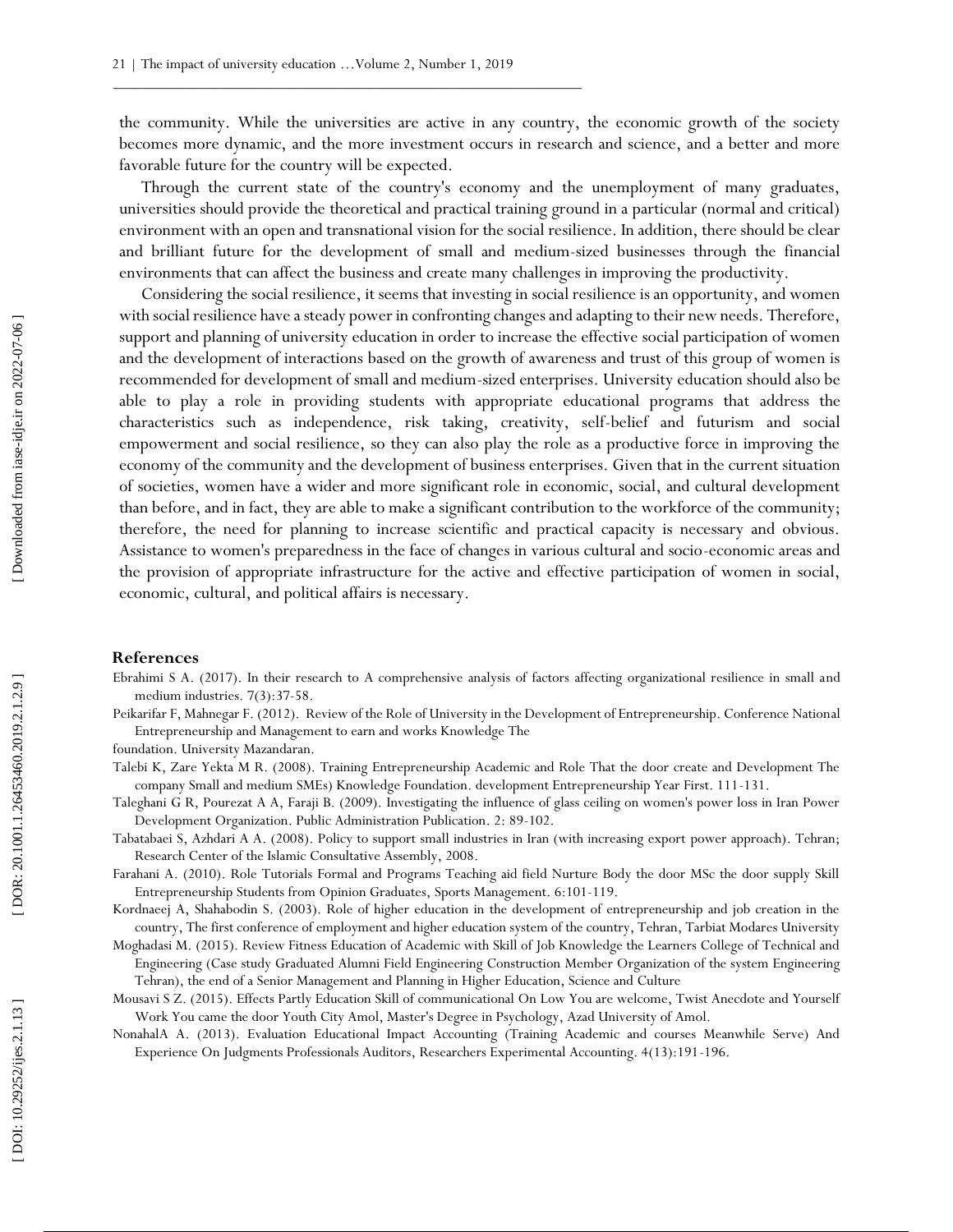the community. While the universities are active in any country, the economic growth of the society becomes more dynamic, and the more investment occurs in research and science, and a better and more favorable future for the country will be expected.

Through the current state of the country's economy and the unemployment of many graduates, universities should provide the theoretical and practical training ground in a particular (normal and critical) environment with an open and transnational vision for the social resilience. In addition, there should be clear and brilliant future for the development of small and medium -sized businesses through the financial environments that can affect the business and create many challenges in improving the productivity.

Considering the social resilience, it seems that investing in social resilience is an opportunity, and women with social resilience have a steady power in confronting changes and adapting to their new needs. Therefore, support and planning of university education in order to increase the effective social participation of women and the development of interactions based on the growth of awareness and trust of this group of women is recommended for development of small and medium -sized enterprises. University education should also be able to play a role in providing students with appropriate educational programs that address the characteristics such as independence, risk taking, creativity, self -belief and futurism and social empowerment and social resilience, so they can also play the role as a productive force in improving the economy of the community and the development of business enterprises. Given that in the current situation of societies, women have a wider and more significant role in economic, social, and cultural development than before, and in fact, they are able to make a significant contribution to the workforce of the community; therefore, the need for planning to increase scientific and practical capacity is necessary and obvious. Assistance to women's preparedness in the face of changes in various cultural and socio -economic areas and the provision of appropriate infrastructure for the active and effective participation of women in social, economic, cultural, and political affairs is necessary.

#### **References**

- Ebrahimi S A. (2017). In their research to A comprehensive analysis of factors affecting organizational resilience in small and medium industries. 7(3):37 -58.
- Peikarifar F, Mahnegar F. (2012). Review of the Role of University in the Development of Entrepreneurship. Conference National Entrepreneurship and Management to earn and works Knowledge The

foundation. University Mazandaran.

- Talebi K, Zare Yekta M R. (2008). Training Entrepreneurship Academic and Role That the door create and Development The company Small and medium SMEs) Knowledge Foundation. development Entrepreneurship Year First. 111 -131.
- Taleghani G R, Pourezat A A, Faraji B. (2009). Investigating the influence of glass ceiling on women's power loss in Iran Power Development Organization. Public Administration Publication. 2: 89 -102.
- Tabatabaei S, Azhdari A A. (2008). Policy to support small industries in Iran (with increasing export power approach). Tehran; Research Center of the Islamic Consultative Assembly, 2008.
- Farahani A. (2010). Role Tutorials Formal and Programs Teaching aid field Nurture Body the door MSc the door supply Skill Entrepreneurship Students from Opinion Graduates, Sports Management. 6:101 -119.
- Kordnaeej A, Shahabodin S. (2003). Role of higher education in the development of entrepreneurship and job creation in the country, The first conference of employment and higher education system of the country, Tehran, Tarbiat Modares University
- Moghadasi M. (2015). Review Fitness Education of Academic with Skill of Job Knowledge the Learners College of Technical and Engineering (Case study Graduated Alumni Field Engineering Construction Member Organization of the system Engineering Tehran), the end of a Senior Management and Planning in Higher Education, Science and Culture
- Mousavi S Z. (2015). Effects Partly Education Skill of communicational On Low You are welcome, Twist Anecdote and Yourself Work You came the door Youth City Amol, Master's Degree in Psychology, Azad University of Amol.
- NonahalA A. (2013). Evaluation Educational Impact Accounting (Training Academic and courses Meanwhile Serve) And Experience On Judgments Professionals Auditors, Researchers Experimental Accounting. 4(13):191 -196.